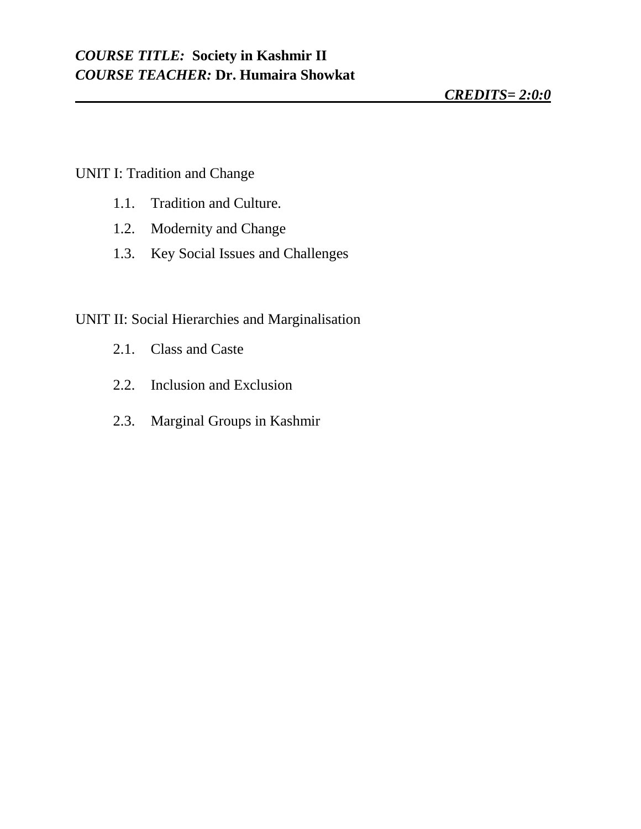#### UNIT I: Tradition and Change

- 1.1. Tradition and Culture.
- 1.2. Modernity and Change
- 1.3. Key Social Issues and Challenges

# UNIT II: Social Hierarchies and Marginalisation

- 2.1. Class and Caste
- 2.2. Inclusion and Exclusion
- 2.3. Marginal Groups in Kashmir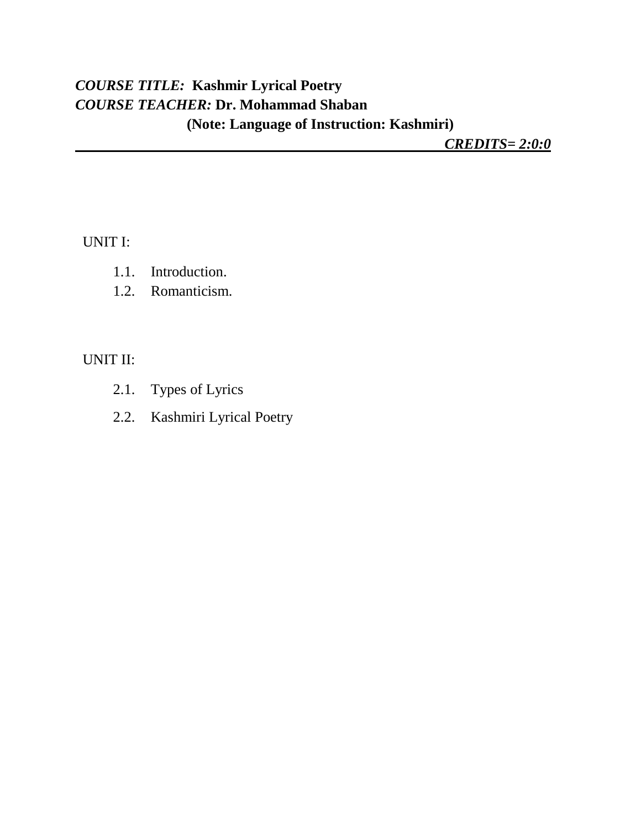# *COURSE TITLE:* **Kashmir Lyrical Poetry** *COURSE TEACHER:* **Dr. Mohammad Shaban (Note: Language of Instruction: Kashmiri)**

*CREDITS= 2:0:0*

UNIT I:

- 1.1. Introduction.
- 1.2. Romanticism.

UNIT II:

- 2.1. Types of Lyrics
- 2.2. Kashmiri Lyrical Poetry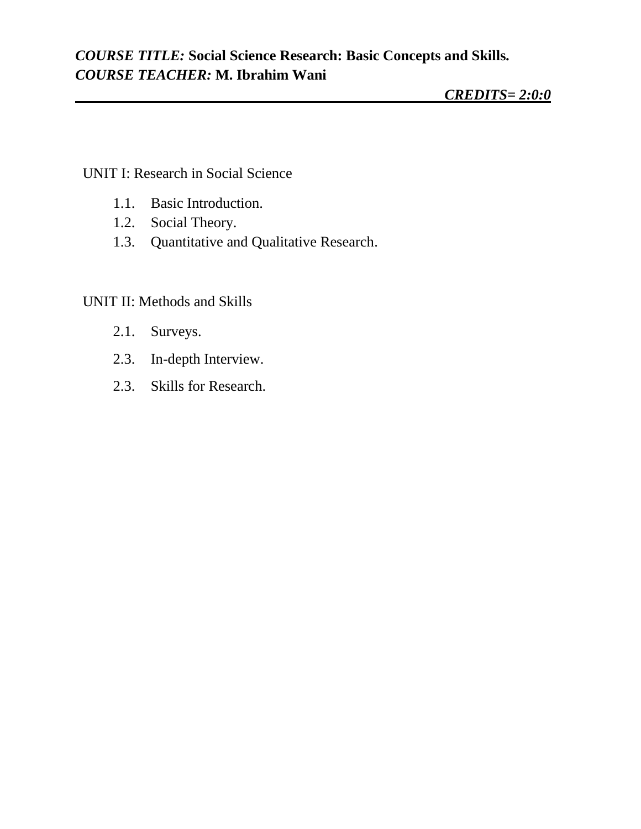## *COURSE TITLE:* **Social Science Research: Basic Concepts and Skills***. COURSE TEACHER:* **M. Ibrahim Wani**

### UNIT I: Research in Social Science

- 1.1. Basic Introduction.
- 1.2. Social Theory.
- 1.3. Quantitative and Qualitative Research.

### UNIT II: Methods and Skills

- 2.1. Surveys.
- 2.3. In-depth Interview.
- 2.3. Skills for Research.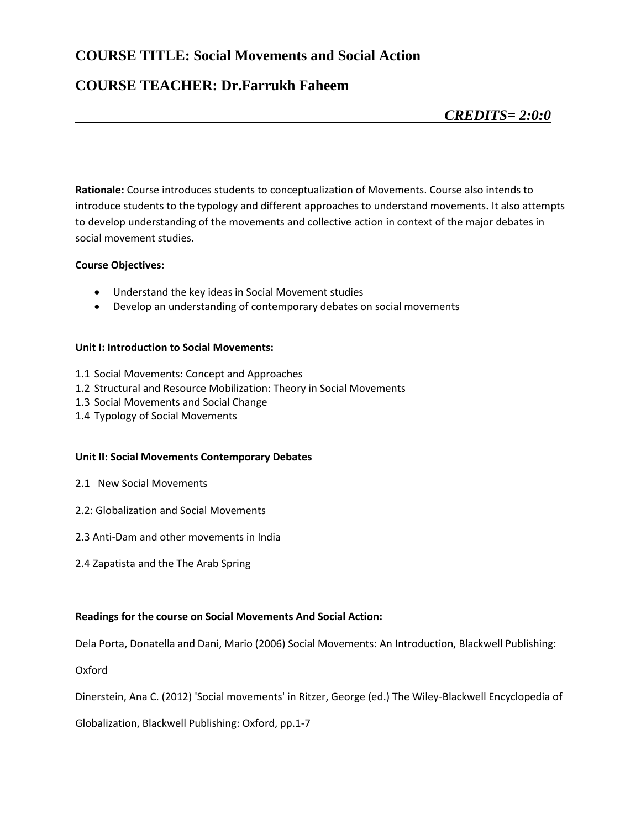### **COURSE TITLE: Social Movements and Social Action**

### **COURSE TEACHER: Dr.Farrukh Faheem**

**Rationale:** Course introduces students to conceptualization of Movements. Course also intends to introduce students to the typology and different approaches to understand movements**.** It also attempts to develop understanding of the movements and collective action in context of the major debates in social movement studies.

#### **Course Objectives:**

- Understand the key ideas in Social Movement studies
- Develop an understanding of contemporary debates on social movements

#### **Unit I: Introduction to Social Movements:**

- 1.1 Social Movements: Concept and Approaches
- 1.2 Structural and Resource Mobilization: Theory in Social Movements
- 1.3 Social Movements and Social Change
- 1.4 Typology of Social Movements

#### **Unit II: Social Movements Contemporary Debates**

- 2.1 New Social Movements
- 2.2: Globalization and Social Movements
- 2.3 Anti-Dam and other movements in India
- 2.4 Zapatista and the The Arab Spring

#### **Readings for the course on Social Movements And Social Action:**

Dela Porta, Donatella and Dani, Mario (2006) Social Movements: An Introduction, Blackwell Publishing:

Oxford

Dinerstein, Ana C. (2012) 'Social movements' in Ritzer, George (ed.) The Wiley-Blackwell Encyclopedia of

Globalization, Blackwell Publishing: Oxford, pp.1-7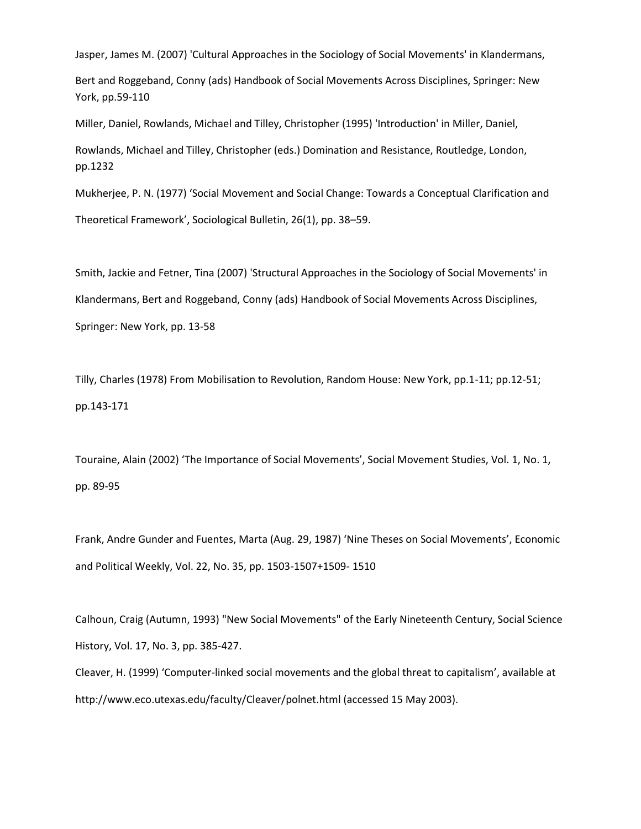Jasper, James M. (2007) 'Cultural Approaches in the Sociology of Social Movements' in Klandermans,

Bert and Roggeband, Conny (ads) Handbook of Social Movements Across Disciplines, Springer: New York, pp.59-110

Miller, Daniel, Rowlands, Michael and Tilley, Christopher (1995) 'Introduction' in Miller, Daniel,

Rowlands, Michael and Tilley, Christopher (eds.) Domination and Resistance, Routledge, London, pp.1232

Mukherjee, P. N. (1977) 'Social Movement and Social Change: Towards a Conceptual Clarification and

Theoretical Framework', Sociological Bulletin, 26(1), pp. 38–59.

Smith, Jackie and Fetner, Tina (2007) 'Structural Approaches in the Sociology of Social Movements' in Klandermans, Bert and Roggeband, Conny (ads) Handbook of Social Movements Across Disciplines, Springer: New York, pp. 13-58

Tilly, Charles (1978) From Mobilisation to Revolution, Random House: New York, pp.1-11; pp.12-51; pp.143-171

Touraine, Alain (2002) 'The Importance of Social Movements', Social Movement Studies, Vol. 1, No. 1, pp. 89-95

Frank, Andre Gunder and Fuentes, Marta (Aug. 29, 1987) 'Nine Theses on Social Movements', Economic and Political Weekly, Vol. 22, No. 35, pp. 1503-1507+1509- 1510

Calhoun, Craig (Autumn, 1993) "New Social Movements" of the Early Nineteenth Century, Social Science History, Vol. 17, No. 3, pp. 385-427.

Cleaver, H. (1999) 'Computer-linked social movements and the global threat to capitalism', available at http://www.eco.utexas.edu/faculty/Cleaver/polnet.html (accessed 15 May 2003).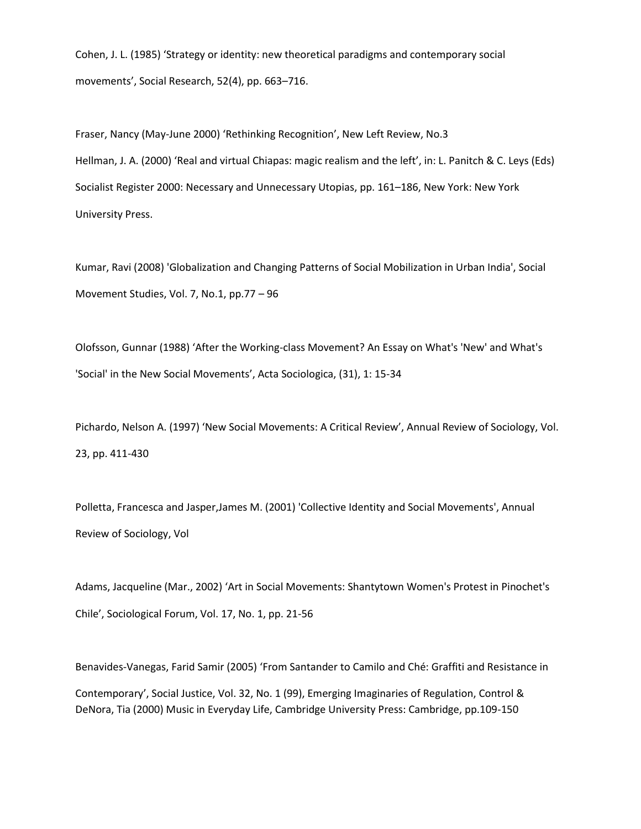Cohen, J. L. (1985) 'Strategy or identity: new theoretical paradigms and contemporary social movements', Social Research, 52(4), pp. 663–716.

Fraser, Nancy (May-June 2000) 'Rethinking Recognition', New Left Review, No.3 Hellman, J. A. (2000) 'Real and virtual Chiapas: magic realism and the left', in: L. Panitch & C. Leys (Eds) Socialist Register 2000: Necessary and Unnecessary Utopias, pp. 161–186, New York: New York University Press.

Kumar, Ravi (2008) 'Globalization and Changing Patterns of Social Mobilization in Urban India', Social Movement Studies, Vol. 7, No.1, pp.77 – 96

Olofsson, Gunnar (1988) 'After the Working-class Movement? An Essay on What's 'New' and What's 'Social' in the New Social Movements', Acta Sociologica, (31), 1: 15-34

Pichardo, Nelson A. (1997) 'New Social Movements: A Critical Review', Annual Review of Sociology, Vol. 23, pp. 411-430

Polletta, Francesca and Jasper,James M. (2001) 'Collective Identity and Social Movements', Annual Review of Sociology, Vol

Adams, Jacqueline (Mar., 2002) 'Art in Social Movements: Shantytown Women's Protest in Pinochet's Chile', Sociological Forum, Vol. 17, No. 1, pp. 21-56

Benavides-Vanegas, Farid Samir (2005) 'From Santander to Camilo and Ché: Graffiti and Resistance in Contemporary', Social Justice, Vol. 32, No. 1 (99), Emerging Imaginaries of Regulation, Control & DeNora, Tia (2000) Music in Everyday Life, Cambridge University Press: Cambridge, pp.109-150